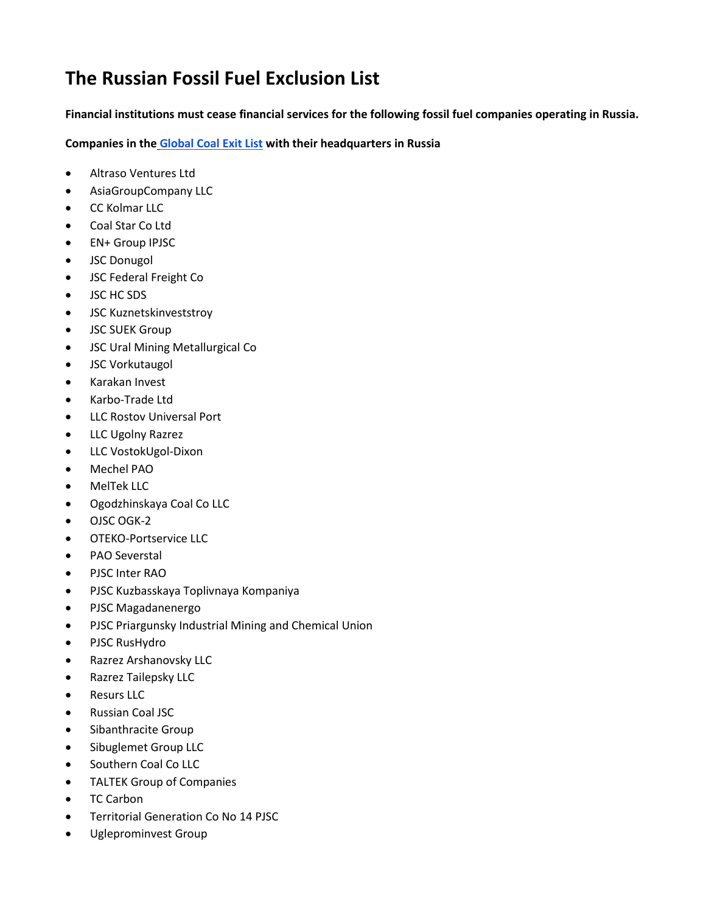## **The Russian Fossil Fuel Exclusion List**

**Financial institutions must cease financial services for the following fossil fuel companies operating in Russia.** 

**Companies in the [Global Coal Exit List](https://www.coalexit.org/) with their headquarters in Russia**

- Altraso Ventures Ltd
- AsiaGroupCompany LLC
- CC Kolmar LLC
- Coal Star Co Ltd
- EN+ Group IPJSC
- JSC Donugol
- JSC Federal Freight Co
- JSC HC SDS
- JSC Kuznetskinveststroy
- JSC SUEK Group
- JSC Ural Mining Metallurgical Co
- JSC Vorkutaugol
- Karakan Invest
- Karbo-Trade Ltd
- LLC Rostov Universal Port
- LLC Ugolny Razrez
- LLC VostokUgol-Dixon
- Mechel PAO
- MelTek LLC
- Ogodzhinskaya Coal Co LLC
- OJSC OGK-2
- OTEKO-Portservice LLC
- PAO Severstal
- PJSC Inter RAO
- PJSC Kuzbasskaya Toplivnaya Kompaniya
- PJSC Magadanenergo
- PJSC Priargunsky Industrial Mining and Chemical Union
- PJSC RusHydro
- Razrez Arshanovsky LLC
- Razrez Tailepsky LLC
- Resurs LLC
- Russian Coal JSC
- Sibanthracite Group
- Sibuglemet Group LLC
- Southern Coal Co LLC
- TALTEK Group of Companies
- TC Carbon
- Territorial Generation Co No 14 PJSC
- Ugleprominvest Group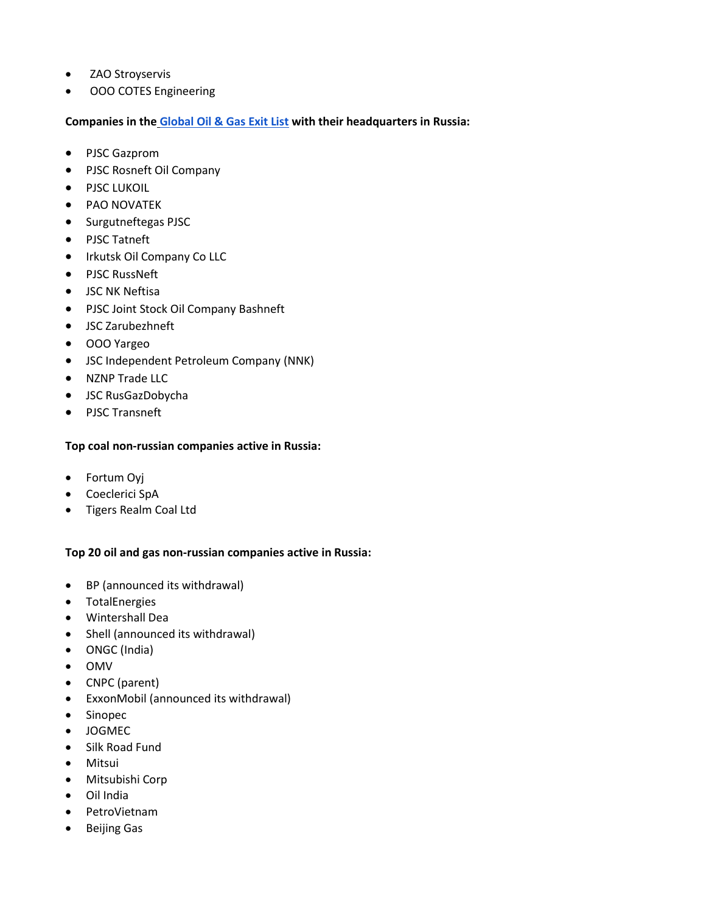- ZAO Stroyservis
- ООО COTES Engineering

**Companies in the [Global Oil & Gas Exit List](https://gogel.org/) with their headquarters in Russia:**

- PJSC Gazprom
- PJSC Rosneft Oil Company
- PJSC LUKOIL
- PAO NOVATEK
- Surgutneftegas PJSC
- PJSC Tatneft
- Irkutsk Oil Company Co LLC
- PJSC RussNeft
- JSC NK Neftisa
- PJSC Joint Stock Oil Company Bashneft
- JSC Zarubezhneft
- OOO Yargeo
- JSC Independent Petroleum Company (NNK)
- NZNP Trade LLC
- JSC RusGazDobycha
- PJSC Transneft

## **Top coal non-russian companies active in Russia:**

- Fortum Oyj
- Coeclerici SpA
- Tigers Realm Coal Ltd

## **Top 20 oil and gas non-russian companies active in Russia:**

- BP (announced its withdrawal)
- TotalEnergies
- Wintershall Dea
- Shell (announced its withdrawal)
- ONGC (India)
- OMV
- CNPC (parent)
- ExxonMobil (announced its withdrawal)
- Sinopec
- JOGMEC
- Silk Road Fund
- Mitsui
- Mitsubishi Corp
- Oil India
- PetroVietnam
- Beijing Gas